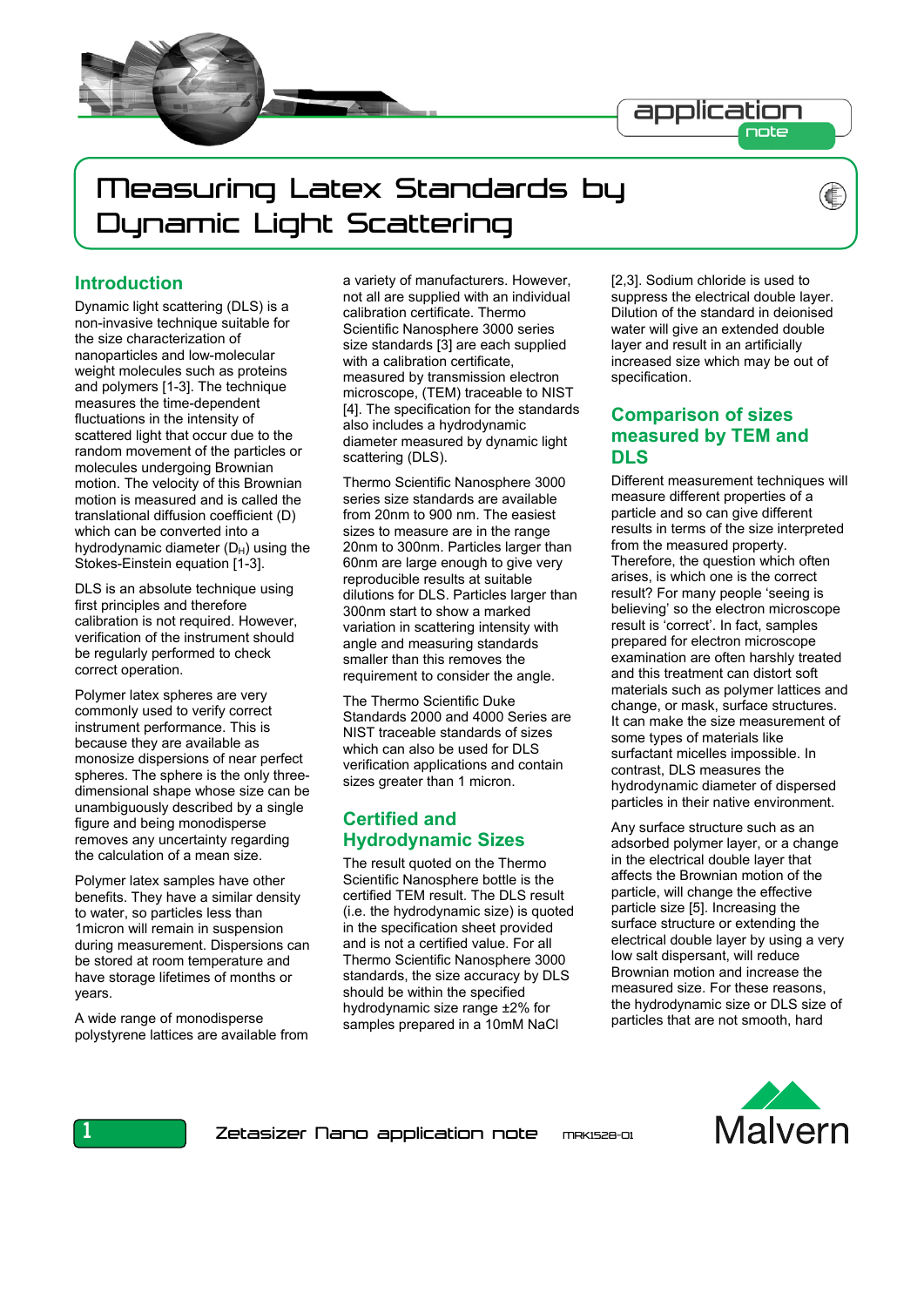

# Measuring Latex Standards by Dynamic Light Scattering

## **Introduction**

Ï

Dynamic light scattering (DLS) is a non-invasive technique suitable for the size characterization of nanoparticles and low-molecular weight molecules such as proteins and polymers [1-3]. The technique measures the time-dependent fluctuations in the intensity of scattered light that occur due to the random movement of the particles or molecules undergoing Brownian motion. The velocity of this Brownian motion is measured and is called the translational diffusion coefficient (D) which can be converted into a hydrodynamic diameter  $(D_H)$  using the Stokes-Einstein equation [1-3].

DLS is an absolute technique using first principles and therefore calibration is not required. However, verification of the instrument should be regularly performed to check correct operation.

Polymer latex spheres are very commonly used to verify correct instrument performance. This is because they are available as monosize dispersions of near perfect spheres. The sphere is the only threedimensional shape whose size can be unambiguously described by a single figure and being monodisperse removes any uncertainty regarding the calculation of a mean size.

Polymer latex samples have other benefits. They have a similar density to water, so particles less than 1micron will remain in suspension during measurement. Dispersions can be stored at room temperature and have storage lifetimes of months or years.

A wide range of monodisperse polystyrene lattices are available from a variety of manufacturers. However, not all are supplied with an individual calibration certificate. Thermo Scientific Nanosphere 3000 series size standards [3] are each supplied with a calibration certificate, measured by transmission electron microscope, (TEM) traceable to NIST [4]. The specification for the standards also includes a hydrodynamic diameter measured by dynamic light scattering (DLS).

Thermo Scientific Nanosphere 3000 series size standards are available from 20nm to 900 nm. The easiest sizes to measure are in the range 20nm to 300nm. Particles larger than 60nm are large enough to give very reproducible results at suitable dilutions for DLS. Particles larger than 300nm start to show a marked variation in scattering intensity with angle and measuring standards smaller than this removes the requirement to consider the angle.

The Thermo Scientific Duke Standards 2000 and 4000 Series are NIST traceable standards of sizes which can also be used for DLS verification applications and contain sizes greater than 1 micron.

# **Certified and Hydrodynamic Sizes**

The result quoted on the Thermo Scientific Nanosphere bottle is the certified TEM result. The DLS result (i.e. the hydrodynamic size) is quoted in the specification sheet provided and is not a certified value. For all Thermo Scientific Nanosphere 3000 standards, the size accuracy by DLS should be within the specified hydrodynamic size range ±2% for samples prepared in a 10mM NaCl

[2,3]. Sodium chloride is used to suppress the electrical double layer. Dilution of the standard in deionised water will give an extended double layer and result in an artificially increased size which may be out of specification.

# **Comparison of sizes measured by TEM and DLS**

Different measurement techniques will measure different properties of a particle and so can give different results in terms of the size interpreted from the measured property. Therefore, the question which often arises, is which one is the correct result? For many people 'seeing is believing' so the electron microscope result is 'correct'. In fact, samples prepared for electron microscope examination are often harshly treated and this treatment can distort soft materials such as polymer lattices and change, or mask, surface structures. It can make the size measurement of some types of materials like surfactant micelles impossible. In contrast, DLS measures the hydrodynamic diameter of dispersed particles in their native environment.

Any surface structure such as an adsorbed polymer layer, or a change in the electrical double layer that affects the Brownian motion of the particle, will change the effective particle size [5]. Increasing the surface structure or extending the electrical double layer by using a very low salt dispersant, will reduce Brownian motion and increase the measured size. For these reasons, the hydrodynamic size or DLS size of particles that are not smooth, hard

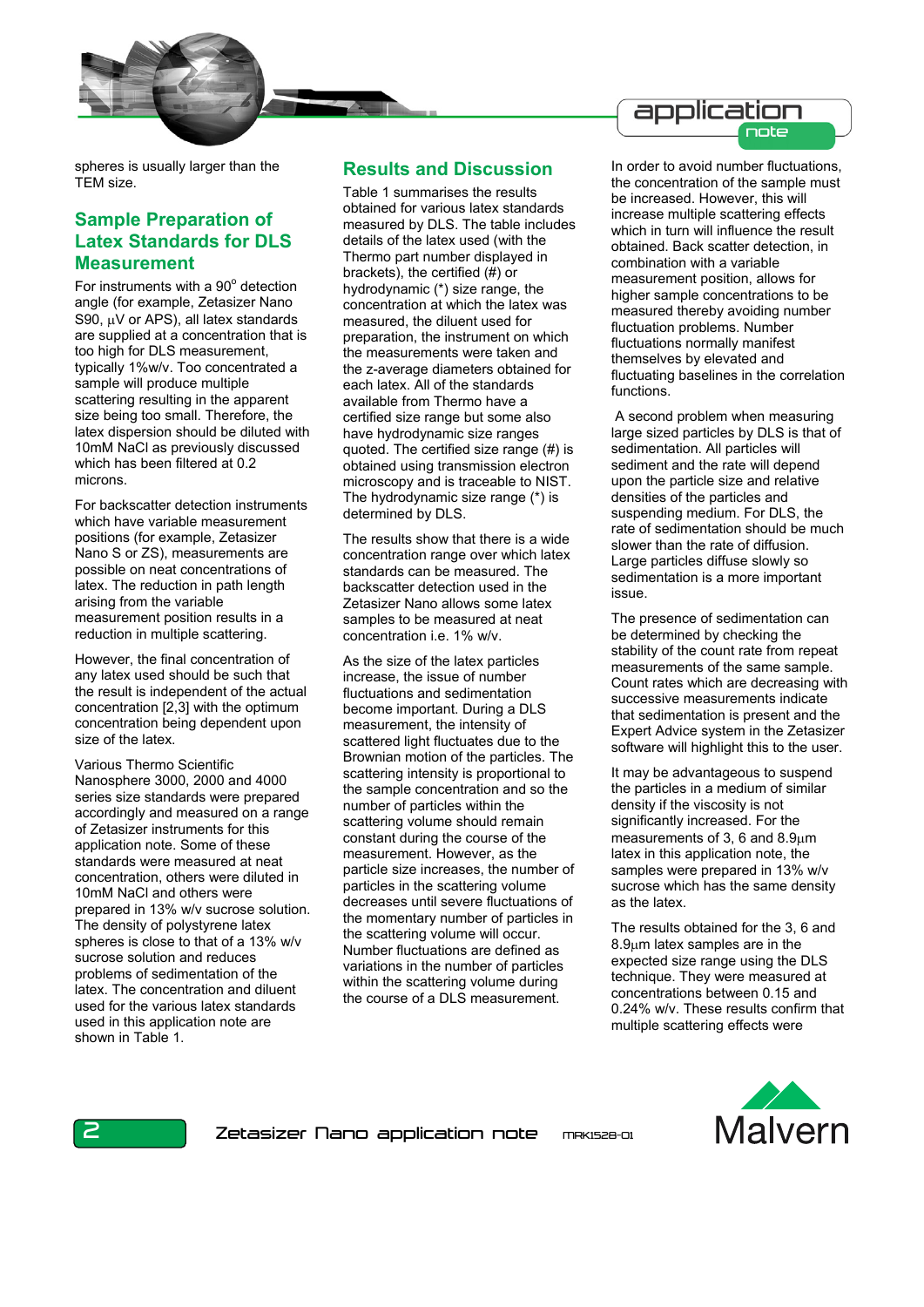

#### application note

spheres is usually larger than the TEM size.

# **Sample Preparation of Latex Standards for DLS Measurement**

For instruments with a 90° detection angle (for example, Zetasizer Nano S90,  $\mu$ V or APS), all latex standards are supplied at a concentration that is too high for DLS measurement, typically 1%w/v. Too concentrated a sample will produce multiple scattering resulting in the apparent size being too small. Therefore, the latex dispersion should be diluted with 10mM NaCl as previously discussed which has been filtered at 0.2 microns.

For backscatter detection instruments which have variable measurement positions (for example, Zetasizer Nano S or ZS), measurements are possible on neat concentrations of latex. The reduction in path length arising from the variable measurement position results in a reduction in multiple scattering.

However, the final concentration of any latex used should be such that the result is independent of the actual concentration [2,3] with the optimum concentration being dependent upon size of the latex.

Various Thermo Scientific Nanosphere 3000, 2000 and 4000 series size standards were prepared accordingly and measured on a range of Zetasizer instruments for this application note. Some of these standards were measured at neat concentration, others were diluted in 10mM NaCl and others were prepared in 13% w/v sucrose solution. The density of polystyrene latex spheres is close to that of a 13% w/v sucrose solution and reduces problems of sedimentation of the latex. The concentration and diluent used for the various latex standards used in this application note are shown in Table 1.

### **Results and Discussion**

Table 1 summarises the results obtained for various latex standards measured by DLS. The table includes details of the latex used (with the Thermo part number displayed in brackets), the certified (#) or hydrodynamic (\*) size range, the concentration at which the latex was measured, the diluent used for preparation, the instrument on which the measurements were taken and the z-average diameters obtained for each latex. All of the standards available from Thermo have a certified size range but some also have hydrodynamic size ranges quoted. The certified size range (#) is obtained using transmission electron microscopy and is traceable to NIST. The hydrodynamic size range (\*) is determined by DLS.

The results show that there is a wide concentration range over which latex standards can be measured. The backscatter detection used in the Zetasizer Nano allows some latex samples to be measured at neat concentration i.e. 1% w/v.

As the size of the latex particles increase, the issue of number fluctuations and sedimentation become important. During a DLS measurement, the intensity of scattered light fluctuates due to the Brownian motion of the particles. The scattering intensity is proportional to the sample concentration and so the number of particles within the scattering volume should remain constant during the course of the measurement. However, as the particle size increases, the number of particles in the scattering volume decreases until severe fluctuations of the momentary number of particles in the scattering volume will occur. Number fluctuations are defined as variations in the number of particles within the scattering volume during the course of a DLS measurement.

In order to avoid number fluctuations, the concentration of the sample must be increased. However, this will increase multiple scattering effects which in turn will influence the result obtained. Back scatter detection, in combination with a variable measurement position, allows for higher sample concentrations to be measured thereby avoiding number fluctuation problems. Number fluctuations normally manifest themselves by elevated and fluctuating baselines in the correlation functions.

 A second problem when measuring large sized particles by DLS is that of sedimentation. All particles will sediment and the rate will depend upon the particle size and relative densities of the particles and suspending medium. For DLS, the rate of sedimentation should be much slower than the rate of diffusion. Large particles diffuse slowly so sedimentation is a more important issue.

The presence of sedimentation can be determined by checking the stability of the count rate from repeat measurements of the same sample. Count rates which are decreasing with successive measurements indicate that sedimentation is present and the Expert Advice system in the Zetasizer software will highlight this to the user.

It may be advantageous to suspend the particles in a medium of similar density if the viscosity is not significantly increased. For the measurements of 3, 6 and 8.9μm latex in this application note, the samples were prepared in 13% w/v sucrose which has the same density as the latex.

The results obtained for the 3, 6 and 8.9μm latex samples are in the expected size range using the DLS technique. They were measured at concentrations between 0.15 and 0.24% w/v. These results confirm that multiple scattering effects were

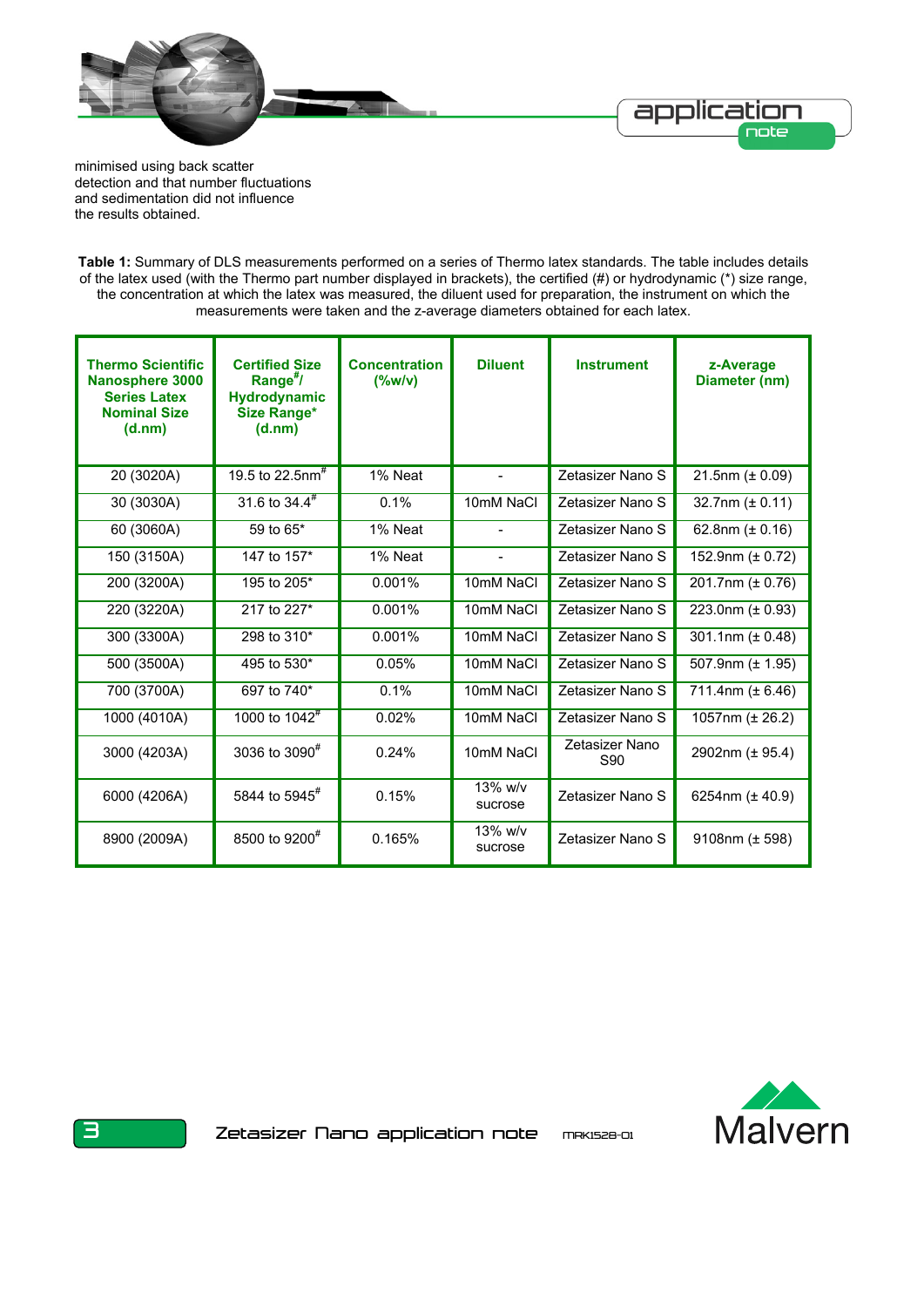

minimised using back scatter detection and that number fluctuations and sedimentation did not influence the results obtained.

**Table 1:** Summary of DLS measurements performed on a series of Thermo latex standards. The table includes details of the latex used (with the Thermo part number displayed in brackets), the certified (#) or hydrodynamic (\*) size range, the concentration at which the latex was measured, the diluent used for preparation, the instrument on which the measurements were taken and the z-average diameters obtained for each latex.

| <b>Thermo Scientific</b><br><b>Nanosphere 3000</b><br><b>Series Latex</b><br><b>Nominal Size</b><br>(d.nm) | <b>Certified Size</b><br>Range $^{\#}$ /<br><b>Hydrodynamic</b><br><b>Size Range*</b><br>(d.nm) | <b>Concentration</b><br>$(\%w/v)$ | <b>Diluent</b>        | <b>Instrument</b>     | z-Average<br>Diameter (nm) |
|------------------------------------------------------------------------------------------------------------|-------------------------------------------------------------------------------------------------|-----------------------------------|-----------------------|-----------------------|----------------------------|
| 20 (3020A)                                                                                                 | 19.5 to 22.5nm <sup>#</sup>                                                                     | 1% Neat                           | $\overline{a}$        | Zetasizer Nano S      | $21.5$ nm ( $\pm$ 0.09)    |
| 30 (3030A)                                                                                                 | 31.6 to $34.4^{\#}$                                                                             | 0.1%                              | 10mM NaCl             | Zetasizer Nano S      | 32.7nm $(\pm 0.11)$        |
| 60 (3060A)                                                                                                 | 59 to 65*                                                                                       | 1% Neat                           |                       | Zetasizer Nano S      | 62.8nm $(\pm 0.16)$        |
| 150 (3150A)                                                                                                | 147 to 157*                                                                                     | 1% Neat                           |                       | Zetasizer Nano S      | 152.9nm $(\pm 0.72)$       |
| 200 (3200A)                                                                                                | 195 to 205*                                                                                     | 0.001%                            | 10mM NaCl             | Zetasizer Nano S      | 201.7nm (± 0.76)           |
| 220 (3220A)                                                                                                | 217 to 227*                                                                                     | 0.001%                            | 10mM NaCl             | Zetasizer Nano S      | 223.0nm $(\pm 0.93)$       |
| 300 (3300A)                                                                                                | 298 to 310*                                                                                     | 0.001%                            | 10mM NaCl             | Zetasizer Nano S      | 301.1nm $(\pm 0.48)$       |
| 500 (3500A)                                                                                                | 495 to 530*                                                                                     | 0.05%                             | 10mM NaCl             | Zetasizer Nano S      | 507.9nm $(\pm 1.95)$       |
| 700 (3700A)                                                                                                | 697 to 740*                                                                                     | 0.1%                              | 10mM NaCl             | Zetasizer Nano S      | 711.4nm (± 6.46)           |
| 1000 (4010A)                                                                                               | 1000 to $1042^{\#}$                                                                             | 0.02%                             | 10mM NaCl             | Zetasizer Nano S      | 1057nm (± 26.2)            |
| 3000 (4203A)                                                                                               | 3036 to 3090 <sup>#</sup>                                                                       | 0.24%                             | 10mM NaCl             | Zetasizer Nano<br>S90 | 2902nm (± 95.4)            |
| 6000 (4206A)                                                                                               | 5844 to 5945 <sup>#</sup>                                                                       | 0.15%                             | $13\%$ w/v<br>sucrose | Zetasizer Nano S      | 6254nm $(\pm 40.9)$        |
| 8900 (2009A)                                                                                               | 8500 to 9200 <sup>#</sup>                                                                       | 0.165%                            | $13\%$ w/v<br>sucrose | Zetasizer Nano S      | 9108nm $(\pm 598)$         |